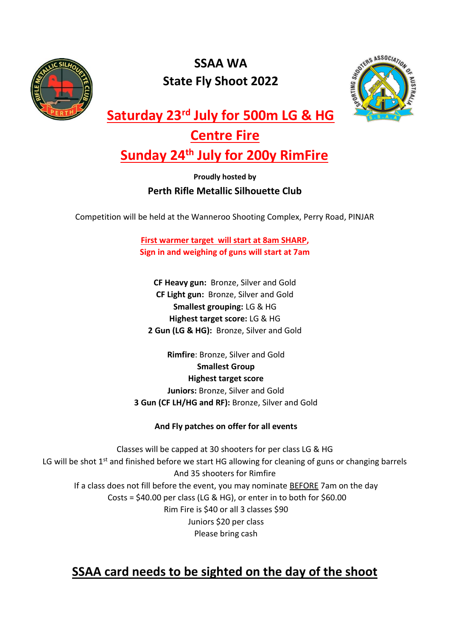

## **SSAA WA State Fly Shoot 2022**



**Saturday 23rd July for 500m LG & HG** 

## **Centre Fire**

# **Sunday 24th July for 200y RimFire**

### **Proudly hosted by Perth Rifle Metallic Silhouette Club**

Competition will be held at the Wanneroo Shooting Complex, Perry Road, PINJAR

**First warmer target will start at 8am SHARP, Sign in and weighing of guns will start at 7am**

**CF Heavy gun:** Bronze, Silver and Gold **CF Light gun:** Bronze, Silver and Gold **Smallest grouping:** LG & HG **Highest target score:** LG & HG **2 Gun (LG & HG):** Bronze, Silver and Gold

**Rimfire**: Bronze, Silver and Gold **Smallest Group Highest target score Juniors:** Bronze, Silver and Gold

**3 Gun (CF LH/HG and RF):** Bronze, Silver and Gold

### **And Fly patches on offer for all events**

Classes will be capped at 30 shooters for per class LG & HG LG will be shot  $1<sup>st</sup>$  and finished before we start HG allowing for cleaning of guns or changing barrels And 35 shooters for Rimfire If a class does not fill before the event, you may nominate **BEFORE** 7am on the day Costs =  $$40.00$  per class (LG & HG), or enter in to both for  $$60.00$ Rim Fire is \$40 or all 3 classes \$90 Juniors \$20 per class Please bring cash

## **SSAA card needs to be sighted on the day of the shoot**